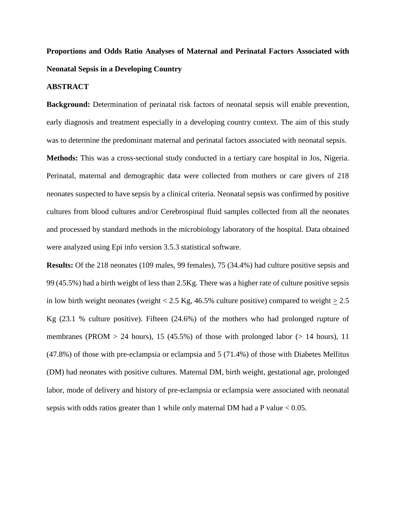## **Proportions and Odds Ratio Analyses of Maternal and Perinatal Factors Associated with Neonatal Sepsis in a Developing Country**

## **ABSTRACT**

**Background:** Determination of perinatal risk factors of neonatal sepsis will enable prevention, early diagnosis and treatment especially in a developing country context. The aim of this study was to determine the predominant maternal and perinatal factors associated with neonatal sepsis.

**Methods:** This was a cross-sectional study conducted in a tertiary care hospital in Jos, Nigeria. Perinatal, maternal and demographic data were collected from mothers or care givers of 218 neonates suspected to have sepsis by a clinical criteria. Neonatal sepsis was confirmed by positive cultures from blood cultures and/or Cerebrospinal fluid samples collected from all the neonates and processed by standard methods in the microbiology laboratory of the hospital. Data obtained were analyzed using Epi info version 3.5.3 statistical software.

**Results:** Of the 218 neonates (109 males, 99 females), 75 (34.4%) had culture positive sepsis and 99 (45.5%) had a birth weight of less than 2.5Kg. There was a higher rate of culture positive sepsis in low birth weight neonates (weight  $< 2.5$  Kg, 46.5% culture positive) compared to weight  $\ge 2.5$ Kg (23.1 % culture positive). Fifteen (24.6%) of the mothers who had prolonged rupture of membranes (PROM  $> 24$  hours), 15 (45.5%) of those with prolonged labor ( $> 14$  hours), 11 (47.8%) of those with pre-eclampsia or eclampsia and 5 (71.4%) of those with Diabetes Mellitus (DM) had neonates with positive cultures. Maternal DM, birth weight, gestational age, prolonged labor, mode of delivery and history of pre-eclampsia or eclampsia were associated with neonatal sepsis with odds ratios greater than 1 while only maternal DM had a P value < 0.05.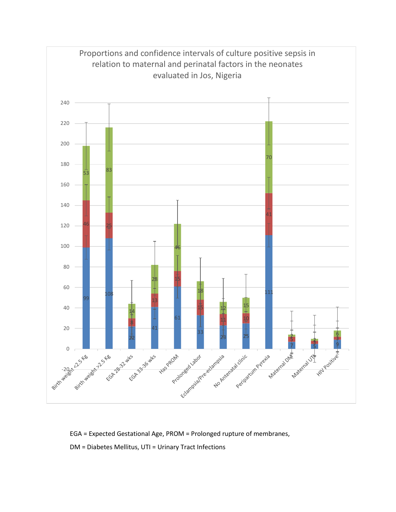

EGA = Expected Gestational Age, PROM = Prolonged rupture of membranes, DM = Diabetes Mellitus, UTI = Urinary Tract Infections